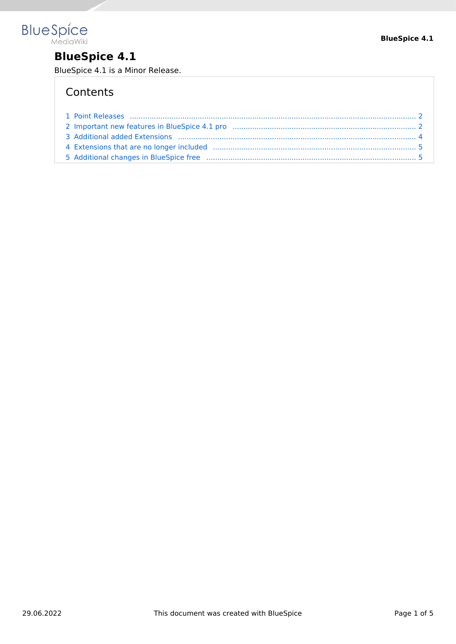

### **BlueSpice 4.1**

BlueSpice 4.1 is a Minor Release.

### **Contents**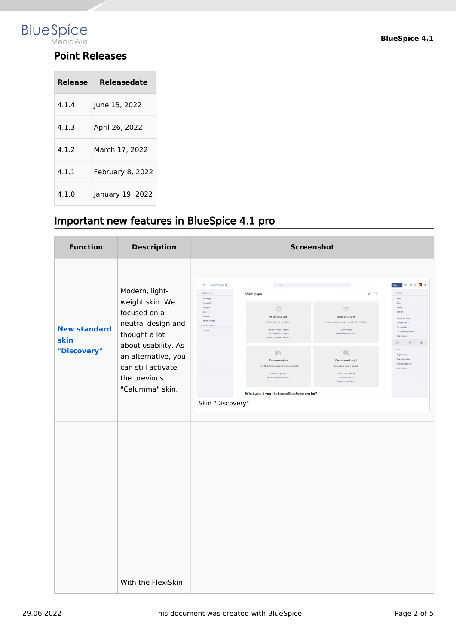<span id="page-1-0"></span>

### Point Releases

| Release | Releasedate      |
|---------|------------------|
| 4.1.4   | June 15, 2022    |
| 4.1.3   | April 26, 2022   |
| 4.1.2   | March 17. 2022   |
| 4.1.1   | February 8, 2022 |
| 4.1.0   | January 19, 2022 |

### <span id="page-1-1"></span>Important new features in BlueSpice 4.1 pro

| <b>Function</b>                            | <b>Description</b>                                                                                                                                                                              |                                                                                                                                                                       | <b>Screenshot</b>                                                                                                                                                                                                                                                                                                                                                          |                                                                                                                                                                                                                                                                                                 |                                                                                                                                                                                                                                                             |
|--------------------------------------------|-------------------------------------------------------------------------------------------------------------------------------------------------------------------------------------------------|-----------------------------------------------------------------------------------------------------------------------------------------------------------------------|----------------------------------------------------------------------------------------------------------------------------------------------------------------------------------------------------------------------------------------------------------------------------------------------------------------------------------------------------------------------------|-------------------------------------------------------------------------------------------------------------------------------------------------------------------------------------------------------------------------------------------------------------------------------------------------|-------------------------------------------------------------------------------------------------------------------------------------------------------------------------------------------------------------------------------------------------------------|
| <b>New standard</b><br>skin<br>"Discovery" | Modern, light-<br>weight skin. We<br>focused on a<br>neutral design and<br>thought a lot<br>about usability. As<br>an alternative, you<br>can still activate<br>the previous<br>"Calumma" skin. | $\equiv$ BlueSpice $\&$<br>ENTRYPOINTS<br>Main Page<br>Bookshelf<br>All pages<br>Blog<br>Timeline<br>Recent changes<br>GETTING STARTED<br>Support<br>Skin "Discovery" | $Q$ Find<br>Main page<br>Ø<br>For an easy start<br>Get familiar with BlueSpice.<br>How do I create a page? of<br>How do I format text? (2)<br>How do I work with menus? (f<br><b>IIV</b><br>Documentation<br>Find all topics in our helpdesk or video tutorials.<br>Visit the helpdesk of<br>Visit our Youtube channel of<br>What would you like to use BlueSpice pro for? | $\rho + \sigma$<br>$\Rightarrow$<br>Style your wiki<br>Add your logo and design your wild with FlexiSkin.<br>Customize now<br>More about FlexiSkin (f)<br>$\mathcal{D}$<br>Do you need help?<br>Contact our support team at<br>+49 (0941) 660 800<br>Send an E-mail of<br>Request a caliback of | <b>ACTIONS</b><br>Move<br>Copy<br>Delete<br>Refresh<br>Start a workflow<br>Manage explity<br>Set reminder<br>Set page assignme<br>Add to health<br>$\mathbb D$<br>$\alpha$<br>DETAILS<br>Page history<br>Page informatio<br>Browse properti-<br>all actions |
|                                            | With the FlexiSkin                                                                                                                                                                              |                                                                                                                                                                       |                                                                                                                                                                                                                                                                                                                                                                            |                                                                                                                                                                                                                                                                                                 |                                                                                                                                                                                                                                                             |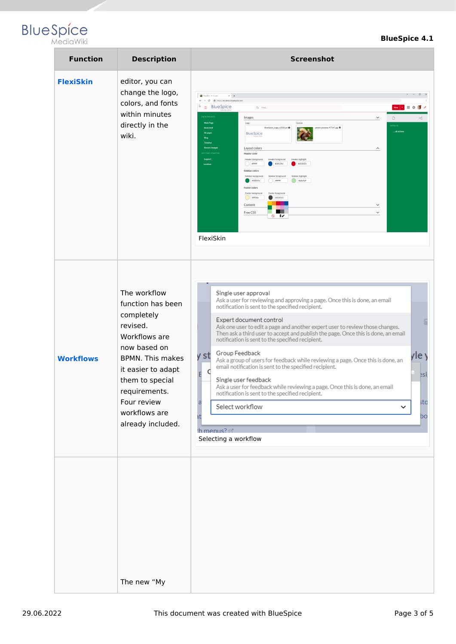# **BlueSpice**

### **BlueSpice 4.1**

| <b>Function</b>  | <b>Description</b>                                                                                                                                                                                                                     | <b>Screenshot</b>                                                                                                                                                                                                                                                                                                                                                                                                                                                                                                                                                                                                                                                                                                                                                                                                                                                                                                                                                                                                                                      |
|------------------|----------------------------------------------------------------------------------------------------------------------------------------------------------------------------------------------------------------------------------------|--------------------------------------------------------------------------------------------------------------------------------------------------------------------------------------------------------------------------------------------------------------------------------------------------------------------------------------------------------------------------------------------------------------------------------------------------------------------------------------------------------------------------------------------------------------------------------------------------------------------------------------------------------------------------------------------------------------------------------------------------------------------------------------------------------------------------------------------------------------------------------------------------------------------------------------------------------------------------------------------------------------------------------------------------------|
| <b>FlexiSkin</b> | editor, you can<br>change the logo,<br>colors, and fonts<br>within minutes<br>directly in the<br>wiki.                                                                                                                                 | $\Box$<br>Flexibin - 4-1-a-pro<br>$\times$ $\hspace{-.08in}$ +<br>$\leftarrow$ $\rightarrow$ C $\otimes$ https://en.demo.bluespice.com<br>D<br>$\equiv$ BlueSpice<br>$Q$ Find.<br>New   -             0<br><b>ENTRYPOINTS</b><br>$\checkmark$<br>Images<br>$\Box$<br>≪<br>Main Page<br>Logo<br>Favicon<br>DETAILS<br>BlueSpice_Logo_v2020.pn @<br>pexels-pixabay-47547.jpg<br>Bookshelf<br>all actions<br>All pages<br><b>BlueSpice</b><br>Blog<br>Timeline<br><b>Recent change</b><br>Layout colors<br>$\widehat{\phantom{a}}$<br>GETTING STARTED<br><b>Header color</b><br><b>Support</b><br>Header background<br><b>Header foreground</b><br><b>Header highlight</b><br>$\bigcirc$ amm<br>#08529d<br>#d50023<br><b>Sandbox</b><br>Sidebar colors<br>Sidebar background<br>Sidebar foreground<br>Sidebar highlight<br>$\Box$ amm<br>$\Box$ #ade4a9<br>1 400834c<br><b>Footer colors</b><br>Footer background<br>Footer foreground<br>1454545<br>$\bigcirc$ #fff2bb<br>Content<br>$\checkmark$<br>Free CSS<br>$\checkmark$<br>$\circ$ 1/<br>FlexiSkin |
| <b>Workflows</b> | The workflow<br>function has been<br>completely<br>revised.<br>Workflows are<br>now based on<br><b>BPMN.</b> This makes<br>it easier to adapt<br>them to special<br>requirements.<br>Four review<br>workflows are<br>already included. | Single user approval<br>Ask a user for reviewing and approving a page. Once this is done, an email<br>notification is sent to the specified recipient.<br>Expert document control<br>Ask one user to edit a page and another expert user to review those changes.<br>Then ask a third user to accept and publish the page. Once this is done, an email<br>notification is sent to the specified recipient.<br>Group Feedback<br>v st<br>yle y<br>Ask a group of users for feedback while reviewing a page. Once this is done, an<br>email notification is sent to the specified recipient.<br>C<br>E<br>esi,<br>Single user feedback<br>Ask a user for feedback while reviewing a page. Once this is done, an email<br>notification is sent to the specified recipient.<br>;to<br>a<br>Select workflow<br>$\check{ }$<br>at<br>bo<br>th menus? r*<br>Selecting a workflow                                                                                                                                                                              |
|                  | The new "My                                                                                                                                                                                                                            |                                                                                                                                                                                                                                                                                                                                                                                                                                                                                                                                                                                                                                                                                                                                                                                                                                                                                                                                                                                                                                                        |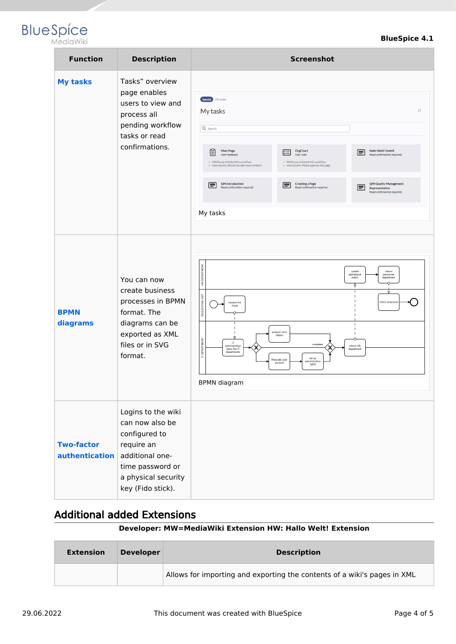## **Blue** Spice

| <b>Function</b>                     | <b>Description</b>                                                                                                                                      | <b>Screenshot</b>                                                                                                                                                                                                                                                                                                                                                                                                                                                                                                                                                                                    |
|-------------------------------------|---------------------------------------------------------------------------------------------------------------------------------------------------------|------------------------------------------------------------------------------------------------------------------------------------------------------------------------------------------------------------------------------------------------------------------------------------------------------------------------------------------------------------------------------------------------------------------------------------------------------------------------------------------------------------------------------------------------------------------------------------------------------|
| <b>My tasks</b>                     | Tasks" overview<br>page enables<br>users to view and<br>process all<br>pending workflow<br>tasks or read<br>confirmations.                              | Special My tasks<br>O<br>My tasks<br>Q Search<br><b>Hallo Welt! GmbH</b><br><b>Main Page</b><br>OrgChart<br>ĕ<br>牢<br>l≡l<br>User feedback<br>User vote<br>Read confirmation required<br>· WikiSysop initiated this workflow<br>· WikiSysop initiated this workflow<br>· Instructions: Should we add more content?<br>o Instructions: Please approve the page.<br><b>QM:Introduction</b><br><b>Creating a Page</b><br><b>QM:Quality Management</b><br>l≡l<br>$\equiv$<br>l≡l<br>Read confirmation required<br>Read confirmation required<br>Representative<br>Read confirmation required<br>My tasks |
| <b>BPMN</b><br>diagrams             | You can now<br>create business<br>processes in BPMN<br>format. The<br>diagrams can be<br>exported as XML<br>files or in SVG<br>format.                  | HR DEPARTMENT<br>update<br>inform<br>operational<br>personnel<br>matrix<br>department<br>Ÿ<br>$\triangledown$<br>REQUESTING DEP<br>inform employer<br>request the<br>move<br>prepare work<br>station<br>IT DEPARTMENT<br>П<br>completed<br>inform HR<br>administration<br>tasks the IT<br>department<br>departments<br>set up<br>Relocate user<br>ministrative<br>account<br>rights<br><b>BPMN</b> diagram                                                                                                                                                                                           |
| <b>Two-factor</b><br>authentication | Logins to the wiki<br>can now also be<br>configured to<br>require an<br>additional one-<br>time password or<br>a physical security<br>key (Fido stick). |                                                                                                                                                                                                                                                                                                                                                                                                                                                                                                                                                                                                      |

### <span id="page-3-0"></span>Additional added Extensions

#### **Developer: MW=MediaWiki Extension HW: Hallo Welt! Extension**

| <b>Extension</b> | <b>Developer</b> | <b>Description</b>                                                       |
|------------------|------------------|--------------------------------------------------------------------------|
|                  |                  | Allows for importing and exporting the contents of a wiki's pages in XML |